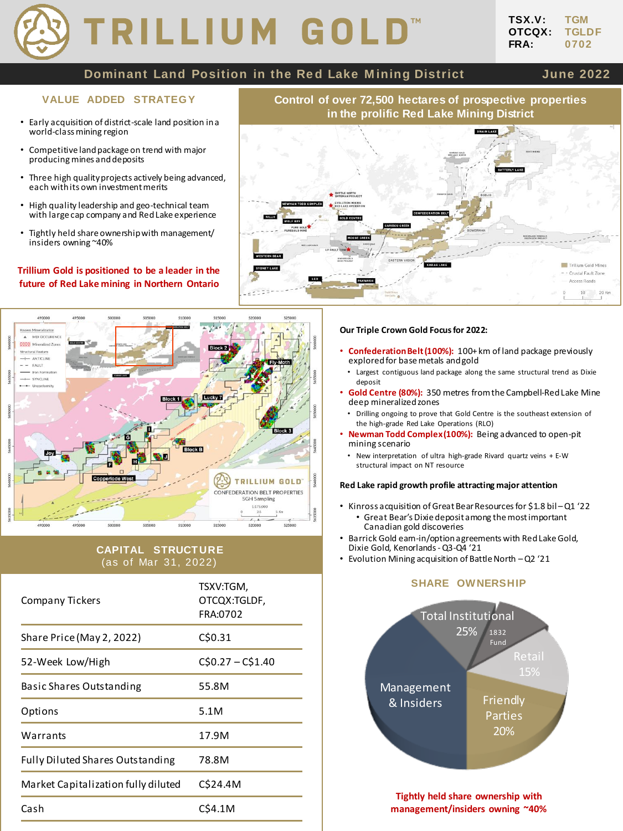# TRILLIUM GOLD

# **Dominant Land Position in the Red Lake Mining District State 10 June 2022**

- Early acquisition of district-scale land position in a world-class mining region
- Competitive land package on trend with major producing mines and deposits
- Three high quality projects actively being advanced, each with its own investment merits
- High quality leadership and geo-technical team with large cap company and Red Lake experience
- Tightly held share ownership with management/ insiders owning ~40%

# **Trillium Gold is positioned to be a leader in the future of Red Lake mining in Northern Ontario**



# **CAPITAL STRUCTURE** (as of Mar 31, 2022)

| Company Tickers                         | TSXV:TGM,<br>OTCQX:TGLDF,<br>FRA:0702 |
|-----------------------------------------|---------------------------------------|
| Share Price (May 2, 2022)               | C\$0.31                               |
| 52-Week Low/High                        | $C$0.27 - C$1.40$                     |
| Basic Shares Outstanding                | 55.8M                                 |
| Options                                 | 5.1M                                  |
| Warrants                                | 17.9M                                 |
| <b>Fully Diluted Shares Outstanding</b> | 78.8M                                 |
| Market Capitalization fully diluted     | C\$24.4M                              |
| Cash                                    | CS4.1M                                |





#### **Our Triple Crown Gold Focus for 2022:**

- **Confederation Belt (100%):** 100+ km of land package previously explored for base metals and gold
- Largest contiguous land package along the same structural trend as Dixie deposit
- **Gold Centre (80%):** 350 metres from the Campbell-Red Lake Mine deep mineralized zones
	- Drilling ongoing to prove that Gold Centre is the southeast extension of the high-grade Red Lake Operations (RLO)
- **Newman Todd Complex (100%):** Being advanced to open-pit mining scenario
	- New interpretation of ultra high-grade Rivard quartz veins + E-W structural impact on NT resource

### **Red Lake rapid growth profile attracting major attention**

- Kinross acquisition of Great Bear Resources for \$1.8 bil –Q1 '22 • Great Bear's Dixie deposit among the most important Canadian gold discoveries
- Barrick Gold earn-in/option agreements with Red Lake Gold, Dixie Gold, Kenorlands-Q3-Q4 '21
- Evolution Mining acquisition of Battle North –Q2 '21

# **SHARE OWNERSHIP**



**Tightly held share ownership with management/insiders owning ~40%**